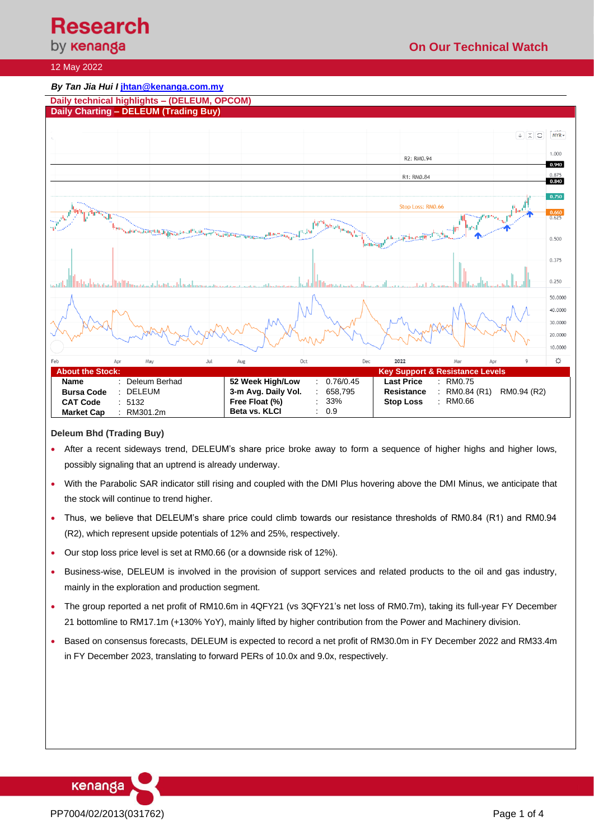# **Research**<br>by **кепапда**

### 12 May 2022

#### *By Tan Jia Hui I* **jhtan@kenanga.com.my Daily technical highlights – (DELEUM, OPCOM) Daily Charting – DELEUM (Trading Buy)**  $\sqrt{2}$  $MYR$  $1.000$ R2: RM0.94 0.940 R1: RM0.84  $0.840$  $0.750$ Stop Loss: RM0.66 0.660<br>በ 625  $0.500$ 0.375 0.250 50.0000 40.0000 30.0000 20.0000 10.0000 Oct 2022  $\breve{\mathbf{C}}$ **About the Stock: Key Support & Resistance Levels Last Price** : RM0.75 **Name** : Deleum Berhad **52 Week High/Low** : 0.76/0.45 **Bursa Code** : DELEUM **3-m Avg. Daily Vol.** : 658,795<br>**Free Float (%)** : 33% **Resistance** : RM0.84 (R1) RM0.94 (R2)<br>**Stop Loss** : RM0.66 **CAT Code** : 5132<br>**Market Cap** : RM301.2m **Free Float (%) Stop Loss Market Cap Beta vs. KLCI** : 0.9

#### **Deleum Bhd (Trading Buy)**

- After a recent sideways trend, DELEUM's share price broke away to form a sequence of higher highs and higher lows, possibly signaling that an uptrend is already underway.
- With the Parabolic SAR indicator still rising and coupled with the DMI Plus hovering above the DMI Minus, we anticipate that the stock will continue to trend higher.
- Thus, we believe that DELEUM's share price could climb towards our resistance thresholds of RM0.84 (R1) and RM0.94 (R2), which represent upside potentials of 12% and 25%, respectively.
- Our stop loss price level is set at RM0.66 (or a downside risk of 12%).
- Business-wise, DELEUM is involved in the provision of support services and related products to the oil and gas industry, mainly in the exploration and production segment.
- The group reported a net profit of RM10.6m in 4QFY21 (vs 3QFY21's net loss of RM0.7m), taking its full-year FY December 21 bottomline to RM17.1m (+130% YoY), mainly lifted by higher contribution from the Power and Machinery division.
- Based on consensus forecasts, DELEUM is expected to record a net profit of RM30.0m in FY December 2022 and RM33.4m in FY December 2023, translating to forward PERs of 10.0x and 9.0x, respectively.

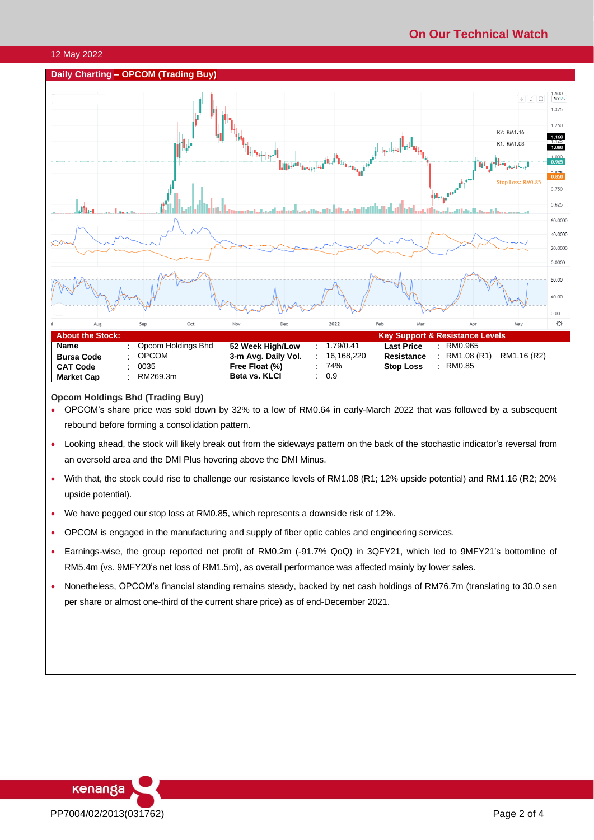# **On Our Technical Watch**

#### 12 May 2022

## **Daily Charting – OPCOM (Trading Buy)**



### **Opcom Holdings Bhd (Trading Buy)**

- OPCOM's share price was sold down by 32% to a low of RM0.64 in early-March 2022 that was followed by a subsequent rebound before forming a consolidation pattern.
- Looking ahead, the stock will likely break out from the sideways pattern on the back of the stochastic indicator's reversal from an oversold area and the DMI Plus hovering above the DMI Minus.
- With that, the stock could rise to challenge our resistance levels of RM1.08 (R1; 12% upside potential) and RM1.16 (R2; 20% upside potential).
- We have pegged our stop loss at RM0.85, which represents a downside risk of 12%.
- OPCOM is engaged in the manufacturing and supply of fiber optic cables and engineering services.
- Earnings-wise, the group reported net profit of RM0.2m (-91.7% QoQ) in 3QFY21, which led to 9MFY21's bottomline of RM5.4m (vs. 9MFY20's net loss of RM1.5m), as overall performance was affected mainly by lower sales.
- Nonetheless, OPCOM's financial standing remains steady, backed by net cash holdings of RM76.7m (translating to 30.0 sen per share or almost one-third of the current share price) as of end-December 2021.

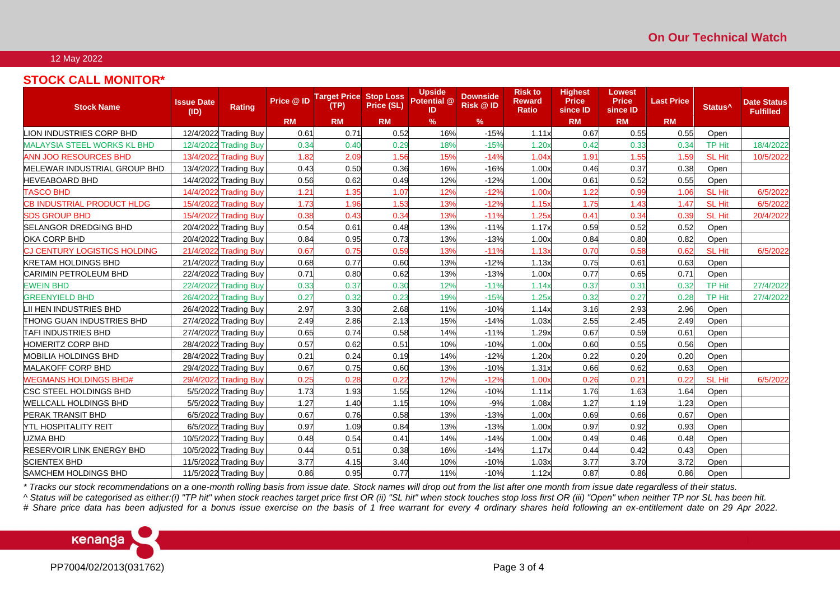#### 12 May 2022

# **STOCK CALL MONITOR\***

| <b>Stock Name</b>                   | <b>Issue Date</b><br>(ID) | <b>Rating</b>         | Price @ ID | <b>Target Price Stop Loss</b><br>(TP) | Price (SL) | <b>Upside</b><br>Potential @<br>ID | <b>Downside</b><br><b>Risk @ ID</b> | <b>Risk to</b><br><b>Reward</b><br>Ratio | <b>Highest</b><br><b>Price</b><br>since ID | <b>Lowest</b><br><b>Price</b><br>since ID | <b>Last Price</b> | Status <sup>^</sup> | <b>Date Status</b><br><b>Fulfilled</b> |
|-------------------------------------|---------------------------|-----------------------|------------|---------------------------------------|------------|------------------------------------|-------------------------------------|------------------------------------------|--------------------------------------------|-------------------------------------------|-------------------|---------------------|----------------------------------------|
|                                     |                           |                       | <b>RM</b>  | <b>RM</b>                             | <b>RM</b>  | $\%$                               | $\%$                                |                                          | <b>RM</b>                                  | <b>RM</b>                                 | <b>RM</b>         |                     |                                        |
| LION INDUSTRIES CORP BHD            |                           | 12/4/2022 Trading Buy | 0.61       | 0.71                                  | 0.52       | 16%                                | $-15%$                              | 1.11x                                    | 0.67                                       | 0.55                                      | 0.55              | Open                |                                        |
| <b>MALAYSIA STEEL WORKS KL BHD</b>  |                           | 12/4/2022 Trading Buy | 0.34       | 0.40                                  | 0.29       | 18%                                | $-15%$                              | 1.20x                                    | 0.42                                       | 0.33                                      | 0.34              | <b>TP Hit</b>       | 18/4/2022                              |
| <b>ANN JOO RESOURCES BHD</b>        |                           | 13/4/2022 Trading Buy | 1.82       | 2.09                                  | 1.56       | 15%                                | $-14%$                              | 1.04x                                    | 1.91                                       | 1.55                                      | 1.59              | <b>SL Hit</b>       | 10/5/2022                              |
| <b>MELEWAR INDUSTRIAL GROUP BHD</b> |                           | 13/4/2022 Trading Buy | 0.43       | 0.50                                  | 0.36       | 16%                                | $-16%$                              | 1.00x                                    | 0.46                                       | 0.37                                      | 0.38              | Open                |                                        |
| <b>HEVEABOARD BHD</b>               |                           | 14/4/2022 Trading Buy | 0.56       | 0.62                                  | 0.49       | 12%                                | $-12%$                              | 1.00x                                    | 0.61                                       | 0.52                                      | 0.55              | Open                |                                        |
| <b>TASCO BHD</b>                    |                           | 14/4/2022 Trading Buy | 1.21       | 1.35                                  | 1.07       | 12%                                | $-12%$                              | 1.00×                                    | 1.22                                       | 0.99                                      | 1.06              | <b>SL Hit</b>       | 6/5/2022                               |
| <b>CB INDUSTRIAL PRODUCT HLDG</b>   |                           | 15/4/2022 Trading Buy | 1.73       | 1.96                                  | 1.53       | 13%                                | $-12%$                              | 1.15x                                    | 1.75                                       | 1.43                                      | 1.47              | <b>SL Hit</b>       | 6/5/2022                               |
| <b>SDS GROUP BHD</b>                |                           | 15/4/2022 Trading Buy | 0.38       | 0.43                                  | 0.34       | 13%                                | $-11%$                              | 1.25x                                    | 0.41                                       | 0.34                                      | 0.39              | <b>SL Hit</b>       | 20/4/2022                              |
| <b>SELANGOR DREDGING BHD</b>        |                           | 20/4/2022 Trading Buy | 0.54       | 0.61                                  | 0.48       | 13%                                | $-11%$                              | 1.17x                                    | 0.59                                       | 0.52                                      | 0.52              | Open                |                                        |
| OKA CORP BHD                        |                           | 20/4/2022 Trading Buy | 0.84       | 0.95                                  | 0.73       | 13%                                | $-13%$                              | 1.00x                                    | 0.84                                       | 0.80                                      | 0.82              | Open                |                                        |
| <b>CJ CENTURY LOGISTICS HOLDING</b> |                           | 21/4/2022 Trading Buy | 0.67       | 0.75                                  | 0.59       | 13%                                | $-11%$                              | 1.13x                                    | 0.70                                       | 0.58                                      | 0.62              | <b>SL Hit</b>       | 6/5/2022                               |
| <b>KRETAM HOLDINGS BHD</b>          |                           | 21/4/2022 Trading Buy | 0.68       | 0.77                                  | 0.60       | 13%                                | $-12%$                              | 1.13x                                    | 0.75                                       | 0.61                                      | 0.63              | Open                |                                        |
| <b>CARIMIN PETROLEUM BHD</b>        |                           | 22/4/2022 Trading Buy | 0.71       | 0.80                                  | 0.62       | 13%                                | $-13%$                              | 1.00x                                    | 0.77                                       | 0.65                                      | 0.71              | Open                |                                        |
| <b>EWEIN BHD</b>                    |                           | 22/4/2022 Trading Buy | 0.33       | 0.37                                  | 0.30       | 12%                                | $-11%$                              | 1.14x                                    | 0.37                                       | 0.31                                      | 0.32              | TP Hit              | 27/4/2022                              |
| <b>GREENYIELD BHD</b>               |                           | 26/4/2022 Trading Buy | 0.27       | 0.32                                  | 0.23       | 19%                                | $-15%$                              | 1.25x                                    | 0.32                                       | 0.27                                      | 0.28              | <b>TP Hit</b>       | 27/4/2022                              |
| LII HEN INDUSTRIES BHD              |                           | 26/4/2022 Trading Buy | 2.97       | 3.30                                  | 2.68       | 11%                                | $-10%$                              | 1.14x                                    | 3.16                                       | 2.93                                      | 2.96              | Open                |                                        |
| <b>THONG GUAN INDUSTRIES BHD</b>    |                           | 27/4/2022 Trading Buy | 2.49       | 2.86                                  | 2.13       | 15%                                | $-14%$                              | 1.03x                                    | 2.55                                       | 2.45                                      | 2.49              | Open                |                                        |
| <b>TAFI INDUSTRIES BHD</b>          |                           | 27/4/2022 Trading Buy | 0.65       | 0.74                                  | 0.58       | 14%                                | $-11%$                              | 1.29x                                    | 0.67                                       | 0.59                                      | 0.61              | Open                |                                        |
| <b>HOMERITZ CORP BHD</b>            |                           | 28/4/2022 Trading Buy | 0.57       | 0.62                                  | 0.51       | 10%                                | $-10%$                              | 1.00x                                    | 0.60                                       | 0.55                                      | 0.56              | Open                |                                        |
| <b>MOBILIA HOLDINGS BHD</b>         |                           | 28/4/2022 Trading Buy | 0.21       | 0.24                                  | 0.19       | 14%                                | $-12%$                              | 1.20x                                    | 0.22                                       | 0.20                                      | 0.20              | Open                |                                        |
| <b>MALAKOFF CORP BHD</b>            |                           | 29/4/2022 Trading Buy | 0.67       | 0.75                                  | 0.60       | 13%                                | $-10%$                              | 1.31x                                    | 0.66                                       | 0.62                                      | 0.63              | Open                |                                        |
| <b>WEGMANS HOLDINGS BHD#</b>        |                           | 29/4/2022 Trading Buy | 0.25       | 0.28                                  | 0.22       | 12%                                | $-12%$                              | 1.00x                                    | 0.26                                       | $0.2^{\circ}$                             | 0.22              | SL Hit              | 6/5/2022                               |
| <b>CSC STEEL HOLDINGS BHD</b>       |                           | 5/5/2022 Trading Buy  | 1.73       | 1.93                                  | 1.55       | 12%                                | $-10%$                              | 1.11x                                    | 1.76                                       | 1.63                                      | 1.64              | Open                |                                        |
| <b>WELLCALL HOLDINGS BHD</b>        |                           | 5/5/2022 Trading Buy  | 1.27       | 1.40                                  | 1.15       | 10%                                | $-9%$                               | 1.08x                                    | 1.27                                       | 1.19                                      | 1.23              | Open                |                                        |
| <b>PERAK TRANSIT BHD</b>            |                           | 6/5/2022 Trading Buy  | 0.67       | 0.76                                  | 0.58       | 13%                                | $-13%$                              | 1.00x                                    | 0.69                                       | 0.66                                      | 0.67              | Open                |                                        |
| <b>YTL HOSPITALITY REIT</b>         |                           | 6/5/2022 Trading Buy  | 0.97       | 1.09                                  | 0.84       | 13%                                | $-13%$                              | 1.00x                                    | 0.97                                       | 0.92                                      | 0.93              | Open                |                                        |
| <b>UZMA BHD</b>                     |                           | 10/5/2022 Trading Buy | 0.48       | 0.54                                  | 0.41       | 14%                                | $-14%$                              | 1.00x                                    | 0.49                                       | 0.46                                      | 0.48              | Open                |                                        |
| <b>RESERVOIR LINK ENERGY BHD</b>    |                           | 10/5/2022 Trading Buy | 0.44       | 0.51                                  | 0.38       | 16%                                | $-14%$                              | 1.17x                                    | 0.44                                       | 0.42                                      | 0.43              | Open                |                                        |
| <b>SCIENTEX BHD</b>                 |                           | 11/5/2022 Trading Buy | 3.77       | 4.15                                  | 3.40       | 10%                                | $-10%$                              | 1.03x                                    | 3.77                                       | 3.70                                      | 3.72              | Open                |                                        |
| SAMCHEM HOLDINGS BHD                |                           | 11/5/2022 Trading Buy | 0.86       | 0.95                                  | 0.77       | 11%                                | $-10%$                              | 1.12x                                    | 0.87                                       | 0.86                                      | 0.86              | Open                |                                        |

*\* Tracks our stock recommendations on a one-month rolling basis from issue date. Stock names will drop out from the list after one month from issue date regardless of their status.*

*^ Status will be categorised as either:(i) "TP hit" when stock reaches target price first OR (ii) "SL hit" when stock touches stop loss first OR (iii) "Open" when neither TP nor SL has been hit.*

*# Share price data has been adjusted for a bonus issue exercise on the basis of 1 free warrant for every 4 ordinary shares held following an ex-entitlement date on 29 Apr 2022.*